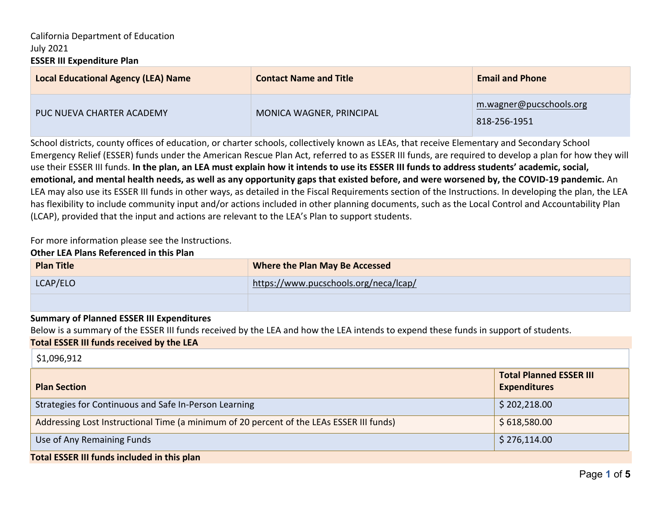## California Department of Education July 2021 **ESSER III Expenditure Plan**

| <b>Local Educational Agency (LEA) Name</b> | <b>Contact Name and Title</b> | <b>Email and Phone</b>                  |
|--------------------------------------------|-------------------------------|-----------------------------------------|
| PUC NUEVA CHARTER ACADEMY                  | MONICA WAGNER, PRINCIPAL      | m.wagner@pucschools.org<br>818-256-1951 |

School districts, county offices of education, or charter schools, collectively known as LEAs, that receive Elementary and Secondary School Emergency Relief (ESSER) funds under the American Rescue Plan Act, referred to as ESSER III funds, are required to develop a plan for how they will use their ESSER III funds. **In the plan, an LEA must explain how it intends to use its ESSER III funds to address students' academic, social, emotional, and mental health needs, as well as any opportunity gaps that existed before, and were worsened by, the COVID-19 pandemic.** An LEA may also use its ESSER III funds in other ways, as detailed in the Fiscal Requirements section of the Instructions. In developing the plan, the LEA has flexibility to include community input and/or actions included in other planning documents, such as the Local Control and Accountability Plan (LCAP), provided that the input and actions are relevant to the LEA's Plan to support students.

For more information please see the Instructions.

#### **Other LEA Plans Referenced in this Plan**

| <b>Plan Title</b> | Where the Plan May Be Accessed        |
|-------------------|---------------------------------------|
| LCAP/ELO          | https://www.pucschools.org/neca/lcap/ |
|                   |                                       |

#### **Summary of Planned ESSER III Expenditures**

Below is a summary of the ESSER III funds received by the LEA and how the LEA intends to expend these funds in support of students.

#### **Total ESSER III funds received by the LEA**

#### \$1,096,912

| <b>Plan Section</b>                                                                      | <b>Total Planned ESSER III</b><br><b>Expenditures</b> |  |
|------------------------------------------------------------------------------------------|-------------------------------------------------------|--|
| Strategies for Continuous and Safe In-Person Learning                                    | \$202,218.00                                          |  |
| Addressing Lost Instructional Time (a minimum of 20 percent of the LEAs ESSER III funds) | \$618,580.00                                          |  |
| Use of Any Remaining Funds                                                               | 5276,114.00                                           |  |
| <b>Total ESSER III funds included in this plan</b>                                       |                                                       |  |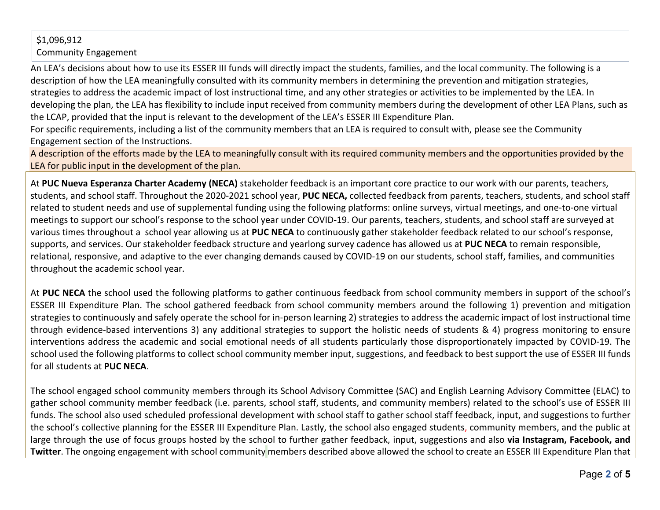# \$1,096,912 Community Engagement

An LEA's decisions about how to use its ESSER III funds will directly impact the students, families, and the local community. The following is a description of how the LEA meaningfully consulted with its community members in determining the prevention and mitigation strategies, strategies to address the academic impact of lost instructional time, and any other strategies or activities to be implemented by the LEA. In developing the plan, the LEA has flexibility to include input received from community members during the development of other LEA Plans, such as the LCAP, provided that the input is relevant to the development of the LEA's ESSER III Expenditure Plan.

For specific requirements, including a list of the community members that an LEA is required to consult with, please see the Community Engagement section of the Instructions.

A description of the efforts made by the LEA to meaningfully consult with its required community members and the opportunities provided by the LEA for public input in the development of the plan.

At **PUC Nueva Esperanza Charter Academy (NECA)** stakeholder feedback is an important core practice to our work with our parents, teachers, students, and school staff. Throughout the 2020-2021 school year, **PUC NECA,** collected feedback from parents, teachers, students, and school staff related to student needs and use of supplemental funding using the following platforms: online surveys, virtual meetings, and one-to-one virtual meetings to support our school's response to the school year under COVID-19. Our parents, teachers, students, and school staff are surveyed at various times throughout a school year allowing us at **PUC NECA** to continuously gather stakeholder feedback related to our school's response, supports, and services. Our stakeholder feedback structure and yearlong survey cadence has allowed us at **PUC NECA** to remain responsible, relational, responsive, and adaptive to the ever changing demands caused by COVID-19 on our students, school staff, families, and communities throughout the academic school year.

At **PUC NECA** the school used the following platforms to gather continuous feedback from school community members in support of the school's ESSER III Expenditure Plan. The school gathered feedback from school community members around the following 1) prevention and mitigation strategies to continuously and safely operate the school for in-person learning 2) strategies to address the academic impact of lost instructional time through evidence-based interventions 3) any additional strategies to support the holistic needs of students & 4) progress monitoring to ensure interventions address the academic and social emotional needs of all students particularly those disproportionately impacted by COVID-19. The school used the following platforms to collect school community member input, suggestions, and feedback to best support the use of ESSER III funds for all students at **PUC NECA**.

The school engaged school community members through its School Advisory Committee (SAC) and English Learning Advisory Committee (ELAC) to gather school community member feedback (i.e. parents, school staff, students, and community members) related to the school's use of ESSER III funds. The school also used scheduled professional development with school staff to gather school staff feedback, input, and suggestions to further the school's collective planning for the ESSER III Expenditure Plan. Lastly, the school also engaged students, community members, and the public at large through the use of focus groups hosted by the school to further gather feedback, input, suggestions and also **via Instagram, Facebook, and Twitter**. The ongoing engagement with school community members described above allowed the school to create an ESSER III Expenditure Plan that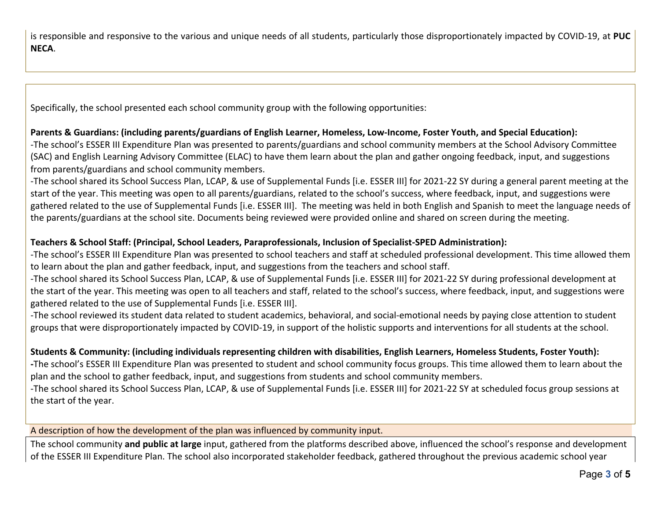is responsible and responsive to the various and unique needs of all students, particularly those disproportionately impacted by COVID-19, at **PUC NECA**.

Specifically, the school presented each school community group with the following opportunities:

# **Parents & Guardians: (including parents/guardians of English Learner, Homeless, Low-Income, Foster Youth, and Special Education):**

-The school's ESSER III Expenditure Plan was presented to parents/guardians and school community members at the School Advisory Committee (SAC) and English Learning Advisory Committee (ELAC) to have them learn about the plan and gather ongoing feedback, input, and suggestions from parents/guardians and school community members.

-The school shared its School Success Plan, LCAP, & use of Supplemental Funds [i.e. ESSER III] for 2021-22 SY during a general parent meeting at the start of the year. This meeting was open to all parents/guardians, related to the school's success, where feedback, input, and suggestions were gathered related to the use of Supplemental Funds [i.e. ESSER III]. The meeting was held in both English and Spanish to meet the language needs of the parents/guardians at the school site. Documents being reviewed were provided online and shared on screen during the meeting.

# **Teachers & School Staff: (Principal, School Leaders, Paraprofessionals, Inclusion of Specialist-SPED Administration):**

-The school's ESSER III Expenditure Plan was presented to school teachers and staff at scheduled professional development. This time allowed them to learn about the plan and gather feedback, input, and suggestions from the teachers and school staff.

-The school shared its School Success Plan, LCAP, & use of Supplemental Funds [i.e. ESSER III] for 2021-22 SY during professional development at the start of the year. This meeting was open to all teachers and staff, related to the school's success, where feedback, input, and suggestions were gathered related to the use of Supplemental Funds [i.e. ESSER III].

-The school reviewed its student data related to student academics, behavioral, and social-emotional needs by paying close attention to student groups that were disproportionately impacted by COVID-19, in support of the holistic supports and interventions for all students at the school.

# **Students & Community: (including individuals representing children with disabilities, English Learners, Homeless Students, Foster Youth):**

**-**The school's ESSER III Expenditure Plan was presented to student and school community focus groups. This time allowed them to learn about the plan and the school to gather feedback, input, and suggestions from students and school community members.

-The school shared its School Success Plan, LCAP, & use of Supplemental Funds [i.e. ESSER III] for 2021-22 SY at scheduled focus group sessions at the start of the year.

A description of how the development of the plan was influenced by community input.

The school community **and public at large** input, gathered from the platforms described above, influenced the school's response and development of the ESSER III Expenditure Plan. The school also incorporated stakeholder feedback, gathered throughout the previous academic school year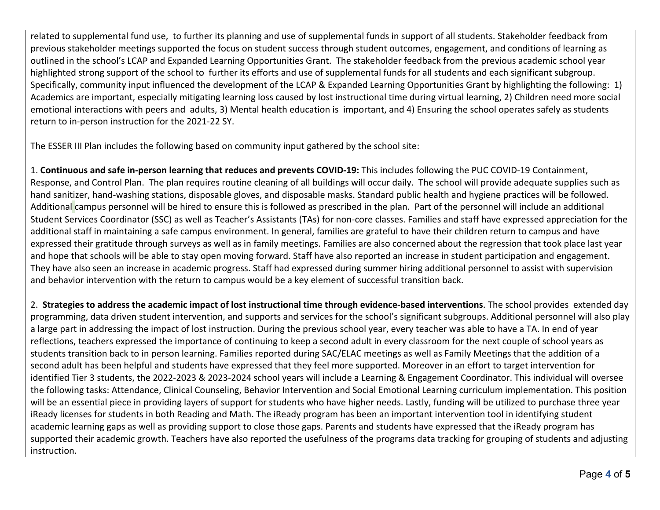related to supplemental fund use, to further its planning and use of supplemental funds in support of all students. Stakeholder feedback from previous stakeholder meetings supported the focus on student success through student outcomes, engagement, and conditions of learning as outlined in the school's LCAP and Expanded Learning Opportunities Grant. The stakeholder feedback from the previous academic school year highlighted strong support of the school to further its efforts and use of supplemental funds for all students and each significant subgroup. Specifically, community input influenced the development of the LCAP & Expanded Learning Opportunities Grant by highlighting the following: 1) Academics are important, especially mitigating learning loss caused by lost instructional time during virtual learning, 2) Children need more social emotional interactions with peers and adults, 3) Mental health education is important, and 4) Ensuring the school operates safely as students return to in-person instruction for the 2021-22 SY.

The ESSER III Plan includes the following based on community input gathered by the school site:

1. **Continuous and safe in-person learning that reduces and prevents COVID-19:** This includes following the PUC COVID-19 Containment, Response, and Control Plan. The plan requires routine cleaning of all buildings will occur daily. The school will provide adequate supplies such as hand sanitizer, hand-washing stations, disposable gloves, and disposable masks. Standard public health and hygiene practices will be followed. Additional campus personnel will be hired to ensure this is followed as prescribed in the plan. Part of the personnel will include an additional Student Services Coordinator (SSC) as well as Teacher's Assistants (TAs) for non-core classes. Families and staff have expressed appreciation for the additional staff in maintaining a safe campus environment. In general, families are grateful to have their children return to campus and have expressed their gratitude through surveys as well as in family meetings. Families are also concerned about the regression that took place last year and hope that schools will be able to stay open moving forward. Staff have also reported an increase in student participation and engagement. They have also seen an increase in academic progress. Staff had expressed during summer hiring additional personnel to assist with supervision and behavior intervention with the return to campus would be a key element of successful transition back.

2. **Strategies to address the academic impact of lost instructional time through evidence-based interventions**. The school provides extended day programming, data driven student intervention, and supports and services for the school's significant subgroups. Additional personnel will also play a large part in addressing the impact of lost instruction. During the previous school year, every teacher was able to have a TA. In end of year reflections, teachers expressed the importance of continuing to keep a second adult in every classroom for the next couple of school years as students transition back to in person learning. Families reported during SAC/ELAC meetings as well as Family Meetings that the addition of a second adult has been helpful and students have expressed that they feel more supported. Moreover in an effort to target intervention for identified Tier 3 students, the 2022-2023 & 2023-2024 school years will include a Learning & Engagement Coordinator. This individual will oversee the following tasks: Attendance, Clinical Counseling, Behavior Intervention and Social Emotional Learning curriculum implementation. This position will be an essential piece in providing layers of support for students who have higher needs. Lastly, funding will be utilized to purchase three year iReady licenses for students in both Reading and Math. The iReady program has been an important intervention tool in identifying student academic learning gaps as well as providing support to close those gaps. Parents and students have expressed that the iReady program has supported their academic growth. Teachers have also reported the usefulness of the programs data tracking for grouping of students and adjusting instruction.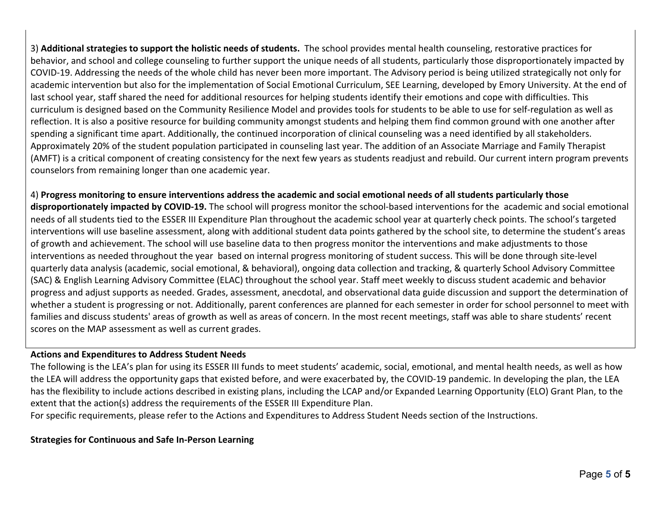3) **Additional strategies to support the holistic needs of students.** The school provides mental health counseling, restorative practices for behavior, and school and college counseling to further support the unique needs of all students, particularly those disproportionately impacted by COVID-19. Addressing the needs of the whole child has never been more important. The Advisory period is being utilized strategically not only for academic intervention but also for the implementation of Social Emotional Curriculum, SEE Learning, developed by Emory University. At the end of last school year, staff shared the need for additional resources for helping students identify their emotions and cope with difficulties. This curriculum is designed based on the Community Resilience Model and provides tools for students to be able to use for self-regulation as well as reflection. It is also a positive resource for building community amongst students and helping them find common ground with one another after spending a significant time apart. Additionally, the continued incorporation of clinical counseling was a need identified by all stakeholders. Approximately 20% of the student population participated in counseling last year. The addition of an Associate Marriage and Family Therapist (AMFT) is a critical component of creating consistency for the next few years as students readjust and rebuild. Our current intern program prevents counselors from remaining longer than one academic year.

4) **Progress monitoring to ensure interventions address the academic and social emotional needs of all students particularly those disproportionately impacted by COVID-19.** The school will progress monitor the school-based interventions for the academic and social emotional needs of all students tied to the ESSER III Expenditure Plan throughout the academic school year at quarterly check points. The school's targeted interventions will use baseline assessment, along with additional student data points gathered by the school site, to determine the student's areas of growth and achievement. The school will use baseline data to then progress monitor the interventions and make adjustments to those interventions as needed throughout the year based on internal progress monitoring of student success. This will be done through site-level quarterly data analysis (academic, social emotional, & behavioral), ongoing data collection and tracking, & quarterly School Advisory Committee (SAC) & English Learning Advisory Committee (ELAC) throughout the school year. Staff meet weekly to discuss student academic and behavior progress and adjust supports as needed. Grades, assessment, anecdotal, and observational data guide discussion and support the determination of whether a student is progressing or not. Additionally, parent conferences are planned for each semester in order for school personnel to meet with families and discuss students' areas of growth as well as areas of concern. In the most recent meetings, staff was able to share students' recent scores on the MAP assessment as well as current grades.

#### **Actions and Expenditures to Address Student Needs**

The following is the LEA's plan for using its ESSER III funds to meet students' academic, social, emotional, and mental health needs, as well as how the LEA will address the opportunity gaps that existed before, and were exacerbated by, the COVID-19 pandemic. In developing the plan, the LEA has the flexibility to include actions described in existing plans, including the LCAP and/or Expanded Learning Opportunity (ELO) Grant Plan, to the extent that the action(s) address the requirements of the ESSER III Expenditure Plan.

For specific requirements, please refer to the Actions and Expenditures to Address Student Needs section of the Instructions.

#### **Strategies for Continuous and Safe In-Person Learning**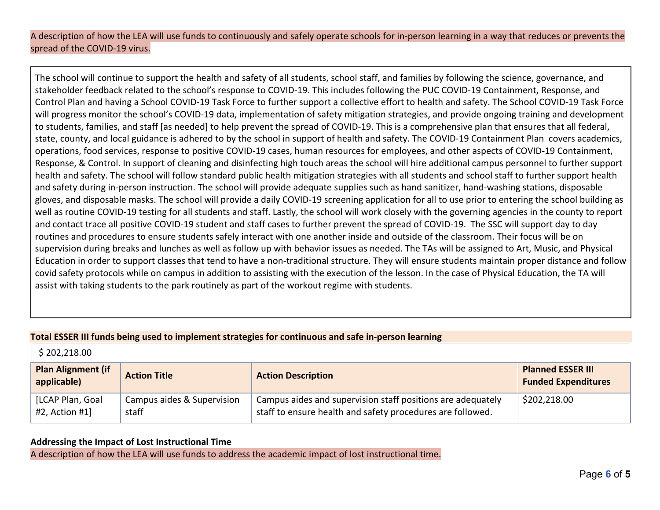## A description of how the LEA will use funds to continuously and safely operate schools for in-person learning in a way that reduces or prevents the spread of the COVID-19 virus.

The school will continue to support the health and safety of all students, school staff, and families by following the science, governance, and stakeholder feedback related to the school's response to COVID-19. This includes following the PUC COVID-19 Containment, Response, and Control Plan and having a School COVID-19 Task Force to further support a collective effort to health and safety. The School COVID-19 Task Force will progress monitor the school's COVID-19 data, implementation of safety mitigation strategies, and provide ongoing training and development to students, families, and staff [as needed] to help prevent the spread of COVID-19. This is a comprehensive plan that ensures that all federal, state, county, and local guidance is adhered to by the school in support of health and safety. The COVID-19 Containment Plan covers academics, operations, food services, response to positive COVID-19 cases, human resources for employees, and other aspects of COVID-19 Containment, Response, & Control. In support of cleaning and disinfecting high touch areas the school will hire additional campus personnel to further support health and safety. The school will follow standard public health mitigation strategies with all students and school staff to further support health and safety during in-person instruction. The school will provide adequate supplies such as hand sanitizer, hand-washing stations, disposable gloves, and disposable masks. The school will provide a daily COVID-19 screening application for all to use prior to entering the school building as well as routine COVID-19 testing for all students and staff. Lastly, the school will work closely with the governing agencies in the county to report and contact trace all positive COVID-19 student and staff cases to further prevent the spread of COVID-19. The SSC will support day to day routines and procedures to ensure students safely interact with one another inside and outside of the classroom. Their focus will be on supervision during breaks and lunches as well as follow up with behavior issues as needed. The TAs will be assigned to Art, Music, and Physical Education in order to support classes that tend to have a non-traditional structure. They will ensure students maintain proper distance and follow covid safety protocols while on campus in addition to assisting with the execution of the lesson. In the case of Physical Education, the TA will assist with taking students to the park routinely as part of the workout regime with students.

#### **Total ESSER III funds being used to implement strategies for continuous and safe in-person learning**

| \$202,218.00                             |                                     |                                                                                                                           |                                                        |
|------------------------------------------|-------------------------------------|---------------------------------------------------------------------------------------------------------------------------|--------------------------------------------------------|
| <b>Plan Alignment (if</b><br>applicable) | <b>Action Title</b>                 | <b>Action Description</b>                                                                                                 | <b>Planned ESSER III</b><br><b>Funded Expenditures</b> |
| [LCAP Plan, Goal<br>#2, Action #1]       | Campus aides & Supervision<br>staff | Campus aides and supervision staff positions are adequately<br>staff to ensure health and safety procedures are followed. | \$202,218.00                                           |

## **Addressing the Impact of Lost Instructional Time**

A description of how the LEA will use funds to address the academic impact of lost instructional time.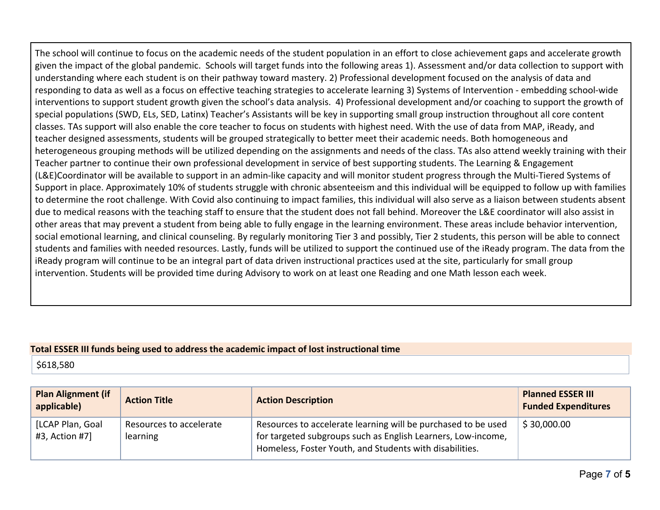The school will continue to focus on the academic needs of the student population in an effort to close achievement gaps and accelerate growth given the impact of the global pandemic. Schools will target funds into the following areas 1). Assessment and/or data collection to support with understanding where each student is on their pathway toward mastery. 2) Professional development focused on the analysis of data and responding to data as well as a focus on effective teaching strategies to accelerate learning 3) Systems of Intervention - embedding school-wide interventions to support student growth given the school's data analysis. 4) Professional development and/or coaching to support the growth of special populations (SWD, ELs, SED, Latinx) Teacher's Assistants will be key in supporting small group instruction throughout all core content classes. TAs support will also enable the core teacher to focus on students with highest need. With the use of data from MAP, iReady, and teacher designed assessments, students will be grouped strategically to better meet their academic needs. Both homogeneous and heterogeneous grouping methods will be utilized depending on the assignments and needs of the class. TAs also attend weekly training with their Teacher partner to continue their own professional development in service of best supporting students. The Learning & Engagement (L&E)Coordinator will be available to support in an admin-like capacity and will monitor student progress through the Multi-Tiered Systems of Support in place. Approximately 10% of students struggle with chronic absenteeism and this individual will be equipped to follow up with families to determine the root challenge. With Covid also continuing to impact families, this individual will also serve as a liaison between students absent due to medical reasons with the teaching staff to ensure that the student does not fall behind. Moreover the L&E coordinator will also assist in other areas that may prevent a student from being able to fully engage in the learning environment. These areas include behavior intervention, social emotional learning, and clinical counseling. By regularly monitoring Tier 3 and possibly, Tier 2 students, this person will be able to connect students and families with needed resources. Lastly, funds will be utilized to support the continued use of the iReady program. The data from the iReady program will continue to be an integral part of data driven instructional practices used at the site, particularly for small group intervention. Students will be provided time during Advisory to work on at least one Reading and one Math lesson each week.

#### **Total ESSER III funds being used to address the academic impact of lost instructional time**

\$618,580

| <b>Plan Alignment (if</b><br>applicable) | <b>Action Title</b>     | <b>Action Description</b>                                     | <b>Planned ESSER III</b><br><b>Funded Expenditures</b> |
|------------------------------------------|-------------------------|---------------------------------------------------------------|--------------------------------------------------------|
| [LCAP Plan, Goal                         | Resources to accelerate | Resources to accelerate learning will be purchased to be used | \$30,000.00                                            |
| #3, Action #7]                           | learning                | for targeted subgroups such as English Learners, Low-income,  |                                                        |
|                                          |                         | Homeless, Foster Youth, and Students with disabilities.       |                                                        |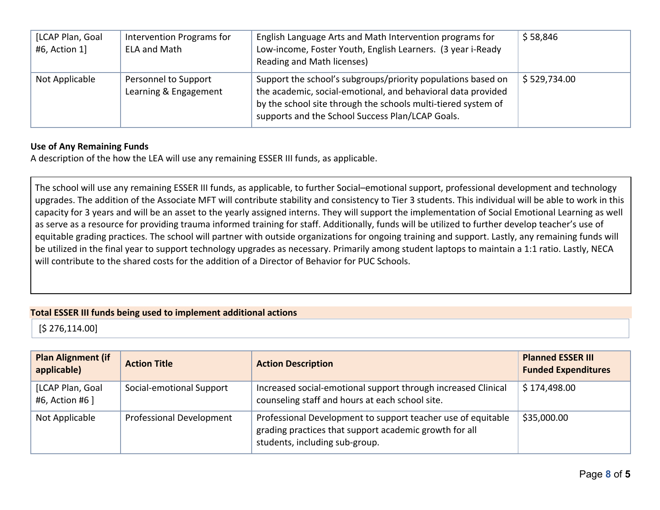| [LCAP Plan, Goal<br>#6, Action 1] | Intervention Programs for<br><b>ELA and Math</b> | English Language Arts and Math Intervention programs for<br>Low-income, Foster Youth, English Learners. (3 year i-Ready<br>Reading and Math licenses)                                                                                             | \$58,846     |
|-----------------------------------|--------------------------------------------------|---------------------------------------------------------------------------------------------------------------------------------------------------------------------------------------------------------------------------------------------------|--------------|
| Not Applicable                    | Personnel to Support<br>Learning & Engagement    | Support the school's subgroups/priority populations based on<br>the academic, social-emotional, and behavioral data provided<br>by the school site through the schools multi-tiered system of<br>supports and the School Success Plan/LCAP Goals. | \$529,734.00 |

#### **Use of Any Remaining Funds**

A description of the how the LEA will use any remaining ESSER III funds, as applicable.

The school will use any remaining ESSER III funds, as applicable, to further Social–emotional support, professional development and technology upgrades. The addition of the Associate MFT will contribute stability and consistency to Tier 3 students. This individual will be able to work in this capacity for 3 years and will be an asset to the yearly assigned interns. They will support the implementation of Social Emotional Learning as well as serve as a resource for providing trauma informed training for staff. Additionally, funds will be utilized to further develop teacher's use of equitable grading practices. The school will partner with outside organizations for ongoing training and support. Lastly, any remaining funds will be utilized in the final year to support technology upgrades as necessary. Primarily among student laptops to maintain a 1:1 ratio. Lastly, NECA will contribute to the shared costs for the addition of a Director of Behavior for PUC Schools.

## **Total ESSER III funds being used to implement additional actions**

[\$ 276,114.00]

| <b>Plan Alignment (if</b><br>applicable) | <b>Action Title</b>             | <b>Action Description</b>                                                                                                                                | <b>Planned ESSER III</b><br><b>Funded Expenditures</b> |
|------------------------------------------|---------------------------------|----------------------------------------------------------------------------------------------------------------------------------------------------------|--------------------------------------------------------|
| [LCAP Plan, Goal<br>#6, Action #6 ]      | Social-emotional Support        | Increased social-emotional support through increased Clinical<br>counseling staff and hours at each school site.                                         | \$174,498.00                                           |
| Not Applicable                           | <b>Professional Development</b> | Professional Development to support teacher use of equitable<br>grading practices that support academic growth for all<br>students, including sub-group. | \$35,000.00                                            |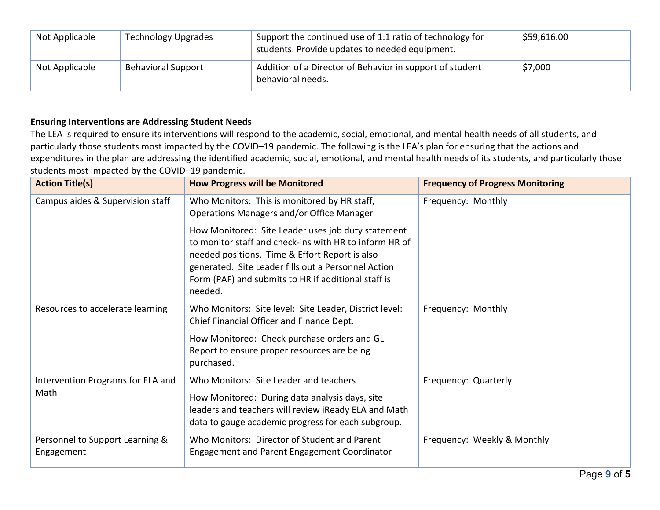| Not Applicable | <b>Technology Upgrades</b> | Support the continued use of 1:1 ratio of technology for<br>students. Provide updates to needed equipment. | \$59,616.00 |
|----------------|----------------------------|------------------------------------------------------------------------------------------------------------|-------------|
| Not Applicable | <b>Behavioral Support</b>  | Addition of a Director of Behavior in support of student<br>behavioral needs.                              | \$7,000     |

# **Ensuring Interventions are Addressing Student Needs**

The LEA is required to ensure its interventions will respond to the academic, social, emotional, and mental health needs of all students, and particularly those students most impacted by the COVID–19 pandemic. The following is the LEA's plan for ensuring that the actions and expenditures in the plan are addressing the identified academic, social, emotional, and mental health needs of its students, and particularly those students most impacted by the COVID–19 pandemic.

| <b>Action Title(s)</b>                        | <b>How Progress will be Monitored</b>                                                                                                                                                                                                                                                   | <b>Frequency of Progress Monitoring</b> |
|-----------------------------------------------|-----------------------------------------------------------------------------------------------------------------------------------------------------------------------------------------------------------------------------------------------------------------------------------------|-----------------------------------------|
| Campus aides & Supervision staff              | Who Monitors: This is monitored by HR staff,<br>Operations Managers and/or Office Manager                                                                                                                                                                                               | Frequency: Monthly                      |
|                                               | How Monitored: Site Leader uses job duty statement<br>to monitor staff and check-ins with HR to inform HR of<br>needed positions. Time & Effort Report is also<br>generated. Site Leader fills out a Personnel Action<br>Form (PAF) and submits to HR if additional staff is<br>needed. |                                         |
| Resources to accelerate learning              | Who Monitors: Site level: Site Leader, District level:<br>Chief Financial Officer and Finance Dept.<br>How Monitored: Check purchase orders and GL<br>Report to ensure proper resources are being                                                                                       | Frequency: Monthly                      |
|                                               | purchased.                                                                                                                                                                                                                                                                              |                                         |
| Intervention Programs for ELA and<br>Math     | Who Monitors: Site Leader and teachers<br>How Monitored: During data analysis days, site<br>leaders and teachers will review iReady ELA and Math<br>data to gauge academic progress for each subgroup.                                                                                  | Frequency: Quarterly                    |
| Personnel to Support Learning &<br>Engagement | Who Monitors: Director of Student and Parent<br>Engagement and Parent Engagement Coordinator                                                                                                                                                                                            | Frequency: Weekly & Monthly             |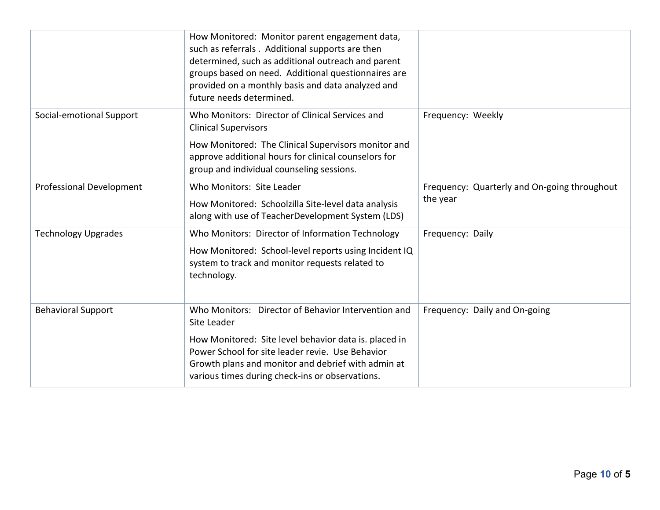|                                 | How Monitored: Monitor parent engagement data,<br>such as referrals. Additional supports are then<br>determined, such as additional outreach and parent<br>groups based on need. Additional questionnaires are<br>provided on a monthly basis and data analyzed and<br>future needs determined. |                                                          |
|---------------------------------|-------------------------------------------------------------------------------------------------------------------------------------------------------------------------------------------------------------------------------------------------------------------------------------------------|----------------------------------------------------------|
| Social-emotional Support        | Who Monitors: Director of Clinical Services and<br><b>Clinical Supervisors</b><br>How Monitored: The Clinical Supervisors monitor and<br>approve additional hours for clinical counselors for<br>group and individual counseling sessions.                                                      | Frequency: Weekly                                        |
| <b>Professional Development</b> | Who Monitors: Site Leader<br>How Monitored: Schoolzilla Site-level data analysis<br>along with use of TeacherDevelopment System (LDS)                                                                                                                                                           | Frequency: Quarterly and On-going throughout<br>the year |
| <b>Technology Upgrades</b>      | Who Monitors: Director of Information Technology<br>How Monitored: School-level reports using Incident IQ<br>system to track and monitor requests related to<br>technology.                                                                                                                     | Frequency: Daily                                         |
| <b>Behavioral Support</b>       | Who Monitors: Director of Behavior Intervention and<br>Site Leader<br>How Monitored: Site level behavior data is. placed in<br>Power School for site leader revie. Use Behavior<br>Growth plans and monitor and debrief with admin at<br>various times during check-ins or observations.        | Frequency: Daily and On-going                            |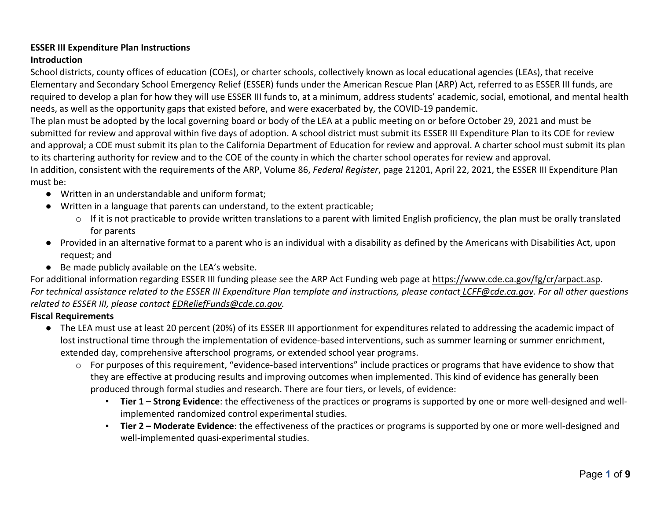# **ESSER III Expenditure Plan Instructions**

## **Introduction**

School districts, county offices of education (COEs), or charter schools, collectively known as local educational agencies (LEAs), that receive Elementary and Secondary School Emergency Relief (ESSER) funds under the American Rescue Plan (ARP) Act, referred to as ESSER III funds, are required to develop a plan for how they will use ESSER III funds to, at a minimum, address students' academic, social, emotional, and mental health needs, as well as the opportunity gaps that existed before, and were exacerbated by, the COVID-19 pandemic.

The plan must be adopted by the local governing board or body of the LEA at a public meeting on or before October 29, 2021 and must be submitted for review and approval within five days of adoption. A school district must submit its ESSER III Expenditure Plan to its COE for review and approval; a COE must submit its plan to the California Department of Education for review and approval. A charter school must submit its plan to its chartering authority for review and to the COE of the county in which the charter school operates for review and approval. In addition, consistent with the requirements of the ARP, Volume 86, *Federal Register*, page 21201, April 22, 2021, the ESSER III Expenditure Plan must be:

- Written in an understandable and uniform format;
- Written in a language that parents can understand, to the extent practicable;
	- $\circ$  If it is not practicable to provide written translations to a parent with limited English proficiency, the plan must be orally translated for parents
- Provided in an alternative format to a parent who is an individual with a disability as defined by the Americans with Disabilities Act, upon request; and
- Be made publicly available on the LEA's website.

For additional information regarding ESSER III funding please see the ARP Act Funding web page at https://www.cde.ca.gov/fg/cr/arpact.asp. *For technical assistance related to the ESSER III Expenditure Plan template and instructions, please contact LCFF@cde.ca.gov. For all other questions related to ESSER III, please contact EDReliefFunds@cde.ca.gov.* 

# **Fiscal Requirements**

- The LEA must use at least 20 percent (20%) of its ESSER III apportionment for expenditures related to addressing the academic impact of lost instructional time through the implementation of evidence-based interventions, such as summer learning or summer enrichment, extended day, comprehensive afterschool programs, or extended school year programs.
	- o For purposes of this requirement, "evidence-based interventions" include practices or programs that have evidence to show that they are effective at producing results and improving outcomes when implemented. This kind of evidence has generally been produced through formal studies and research. There are four tiers, or levels, of evidence:
		- **Tier 1 – Strong Evidence**: the effectiveness of the practices or programs is supported by one or more well-designed and wellimplemented randomized control experimental studies.
		- **Tier 2 – Moderate Evidence**: the effectiveness of the practices or programs is supported by one or more well-designed and well-implemented quasi-experimental studies.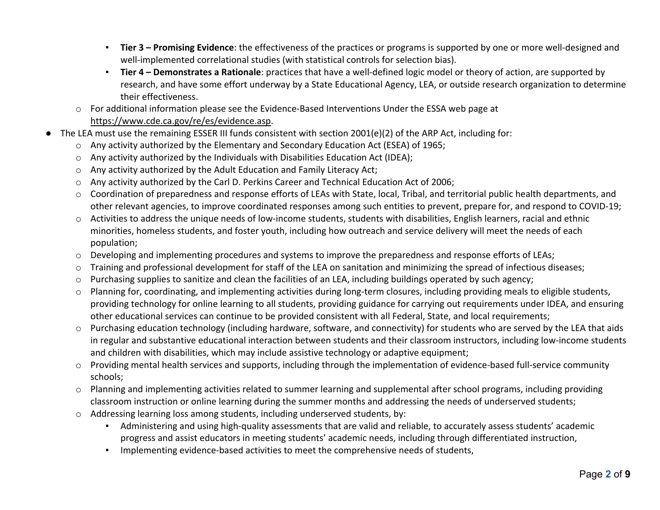- **Tier 3 – Promising Evidence**: the effectiveness of the practices or programs is supported by one or more well-designed and well-implemented correlational studies (with statistical controls for selection bias).
- **Tier 4 – Demonstrates a Rationale**: practices that have a well-defined logic model or theory of action, are supported by research, and have some effort underway by a State Educational Agency, LEA, or outside research organization to determine their effectiveness.
- o For additional information please see the Evidence-Based Interventions Under the ESSA web page at https://www.cde.ca.gov/re/es/evidence.asp.
- The LEA must use the remaining ESSER III funds consistent with section 2001(e)(2) of the ARP Act, including for:
	- o Any activity authorized by the Elementary and Secondary Education Act (ESEA) of 1965;
	- o Any activity authorized by the Individuals with Disabilities Education Act (IDEA);
	- o Any activity authorized by the Adult Education and Family Literacy Act;
	- o Any activity authorized by the Carl D. Perkins Career and Technical Education Act of 2006;
	- o Coordination of preparedness and response efforts of LEAs with State, local, Tribal, and territorial public health departments, and other relevant agencies, to improve coordinated responses among such entities to prevent, prepare for, and respond to COVID-19;
	- o Activities to address the unique needs of low-income students, students with disabilities, English learners, racial and ethnic minorities, homeless students, and foster youth, including how outreach and service delivery will meet the needs of each population;
	- o Developing and implementing procedures and systems to improve the preparedness and response efforts of LEAs;
	- o Training and professional development for staff of the LEA on sanitation and minimizing the spread of infectious diseases;
	- o Purchasing supplies to sanitize and clean the facilities of an LEA, including buildings operated by such agency;
	- o Planning for, coordinating, and implementing activities during long-term closures, including providing meals to eligible students, providing technology for online learning to all students, providing guidance for carrying out requirements under IDEA, and ensuring other educational services can continue to be provided consistent with all Federal, State, and local requirements;
	- o Purchasing education technology (including hardware, software, and connectivity) for students who are served by the LEA that aids in regular and substantive educational interaction between students and their classroom instructors, including low-income students and children with disabilities, which may include assistive technology or adaptive equipment;
	- o Providing mental health services and supports, including through the implementation of evidence-based full-service community schools;
	- o Planning and implementing activities related to summer learning and supplemental after school programs, including providing classroom instruction or online learning during the summer months and addressing the needs of underserved students;
	- o Addressing learning loss among students, including underserved students, by:
		- Administering and using high-quality assessments that are valid and reliable, to accurately assess students' academic progress and assist educators in meeting students' academic needs, including through differentiated instruction,
		- Implementing evidence-based activities to meet the comprehensive needs of students,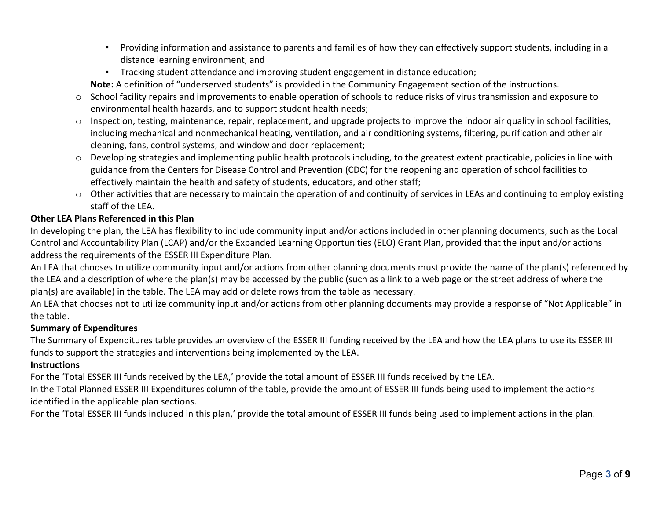- Providing information and assistance to parents and families of how they can effectively support students, including in a distance learning environment, and
- Tracking student attendance and improving student engagement in distance education;

**Note:** A definition of "underserved students" is provided in the Community Engagement section of the instructions.

- o School facility repairs and improvements to enable operation of schools to reduce risks of virus transmission and exposure to environmental health hazards, and to support student health needs;
- $\circ$  Inspection, testing, maintenance, repair, replacement, and upgrade projects to improve the indoor air quality in school facilities, including mechanical and nonmechanical heating, ventilation, and air conditioning systems, filtering, purification and other air cleaning, fans, control systems, and window and door replacement;
- o Developing strategies and implementing public health protocols including, to the greatest extent practicable, policies in line with guidance from the Centers for Disease Control and Prevention (CDC) for the reopening and operation of school facilities to effectively maintain the health and safety of students, educators, and other staff;
- $\circ$  Other activities that are necessary to maintain the operation of and continuity of services in LEAs and continuing to employ existing staff of the LEA.

# **Other LEA Plans Referenced in this Plan**

In developing the plan, the LEA has flexibility to include community input and/or actions included in other planning documents, such as the Local Control and Accountability Plan (LCAP) and/or the Expanded Learning Opportunities (ELO) Grant Plan, provided that the input and/or actions address the requirements of the ESSER III Expenditure Plan.

An LEA that chooses to utilize community input and/or actions from other planning documents must provide the name of the plan(s) referenced by the LEA and a description of where the plan(s) may be accessed by the public (such as a link to a web page or the street address of where the plan(s) are available) in the table. The LEA may add or delete rows from the table as necessary.

An LEA that chooses not to utilize community input and/or actions from other planning documents may provide a response of "Not Applicable" in the table.

## **Summary of Expenditures**

The Summary of Expenditures table provides an overview of the ESSER III funding received by the LEA and how the LEA plans to use its ESSER III funds to support the strategies and interventions being implemented by the LEA.

## **Instructions**

For the 'Total ESSER III funds received by the LEA,' provide the total amount of ESSER III funds received by the LEA.

In the Total Planned ESSER III Expenditures column of the table, provide the amount of ESSER III funds being used to implement the actions identified in the applicable plan sections.

For the 'Total ESSER III funds included in this plan,' provide the total amount of ESSER III funds being used to implement actions in the plan.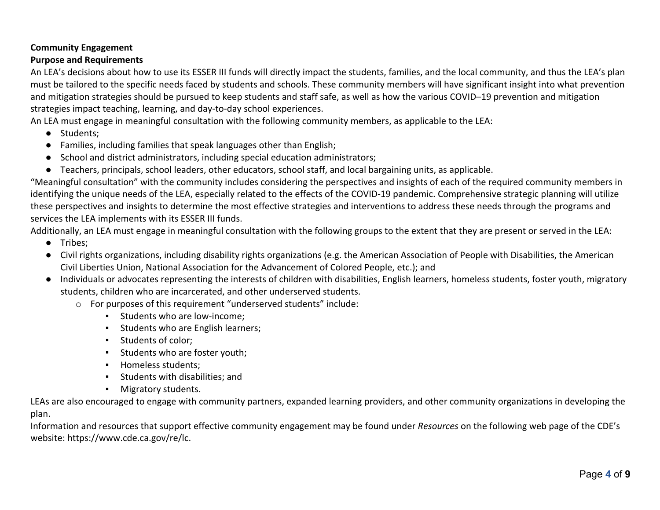# **Community Engagement**

# **Purpose and Requirements**

An LEA's decisions about how to use its ESSER III funds will directly impact the students, families, and the local community, and thus the LEA's plan must be tailored to the specific needs faced by students and schools. These community members will have significant insight into what prevention and mitigation strategies should be pursued to keep students and staff safe, as well as how the various COVID–19 prevention and mitigation strategies impact teaching, learning, and day-to-day school experiences.

An LEA must engage in meaningful consultation with the following community members, as applicable to the LEA:

- Students;
- Families, including families that speak languages other than English;
- School and district administrators, including special education administrators;
- Teachers, principals, school leaders, other educators, school staff, and local bargaining units, as applicable.

"Meaningful consultation" with the community includes considering the perspectives and insights of each of the required community members in identifying the unique needs of the LEA, especially related to the effects of the COVID-19 pandemic. Comprehensive strategic planning will utilize these perspectives and insights to determine the most effective strategies and interventions to address these needs through the programs and services the LEA implements with its ESSER III funds.

Additionally, an LEA must engage in meaningful consultation with the following groups to the extent that they are present or served in the LEA:

- Tribes;
- Civil rights organizations, including disability rights organizations (e.g. the American Association of People with Disabilities, the American Civil Liberties Union, National Association for the Advancement of Colored People, etc.); and
- Individuals or advocates representing the interests of children with disabilities, English learners, homeless students, foster youth, migratory students, children who are incarcerated, and other underserved students.
	- o For purposes of this requirement "underserved students" include:
		- **EXECUTE:** Students who are low-income;
		- **EXEC** Students who are English learners;
		- Students of color;
		- Students who are foster youth;
		- Homeless students;
		- Students with disabilities; and
		- Migratory students.

LEAs are also encouraged to engage with community partners, expanded learning providers, and other community organizations in developing the plan.

Information and resources that support effective community engagement may be found under *Resources* on the following web page of the CDE's website: https://www.cde.ca.gov/re/lc.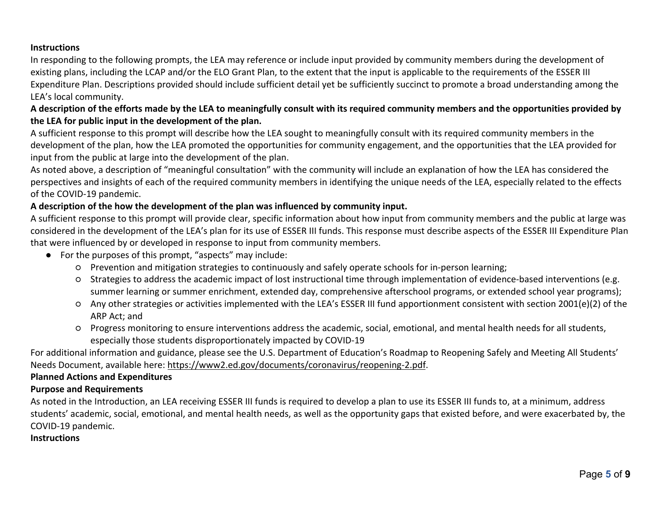#### **Instructions**

In responding to the following prompts, the LEA may reference or include input provided by community members during the development of existing plans, including the LCAP and/or the ELO Grant Plan, to the extent that the input is applicable to the requirements of the ESSER III Expenditure Plan. Descriptions provided should include sufficient detail yet be sufficiently succinct to promote a broad understanding among the LEA's local community.

## **A description of the efforts made by the LEA to meaningfully consult with its required community members and the opportunities provided by the LEA for public input in the development of the plan.**

A sufficient response to this prompt will describe how the LEA sought to meaningfully consult with its required community members in the development of the plan, how the LEA promoted the opportunities for community engagement, and the opportunities that the LEA provided for input from the public at large into the development of the plan.

As noted above, a description of "meaningful consultation" with the community will include an explanation of how the LEA has considered the perspectives and insights of each of the required community members in identifying the unique needs of the LEA, especially related to the effects of the COVID-19 pandemic.

#### **A description of the how the development of the plan was influenced by community input.**

A sufficient response to this prompt will provide clear, specific information about how input from community members and the public at large was considered in the development of the LEA's plan for its use of ESSER III funds. This response must describe aspects of the ESSER III Expenditure Plan that were influenced by or developed in response to input from community members.

- For the purposes of this prompt, "aspects" may include:
	- Prevention and mitigation strategies to continuously and safely operate schools for in-person learning;
	- Strategies to address the academic impact of lost instructional time through implementation of evidence-based interventions (e.g. summer learning or summer enrichment, extended day, comprehensive afterschool programs, or extended school year programs);
	- Any other strategies or activities implemented with the LEA's ESSER III fund apportionment consistent with section 2001(e)(2) of the ARP Act; and
	- Progress monitoring to ensure interventions address the academic, social, emotional, and mental health needs for all students, especially those students disproportionately impacted by COVID-19

For additional information and guidance, please see the U.S. Department of Education's Roadmap to Reopening Safely and Meeting All Students' Needs Document, available here: https://www2.ed.gov/documents/coronavirus/reopening-2.pdf.

#### **Planned Actions and Expenditures**

#### **Purpose and Requirements**

As noted in the Introduction, an LEA receiving ESSER III funds is required to develop a plan to use its ESSER III funds to, at a minimum, address students' academic, social, emotional, and mental health needs, as well as the opportunity gaps that existed before, and were exacerbated by, the COVID-19 pandemic.

#### **Instructions**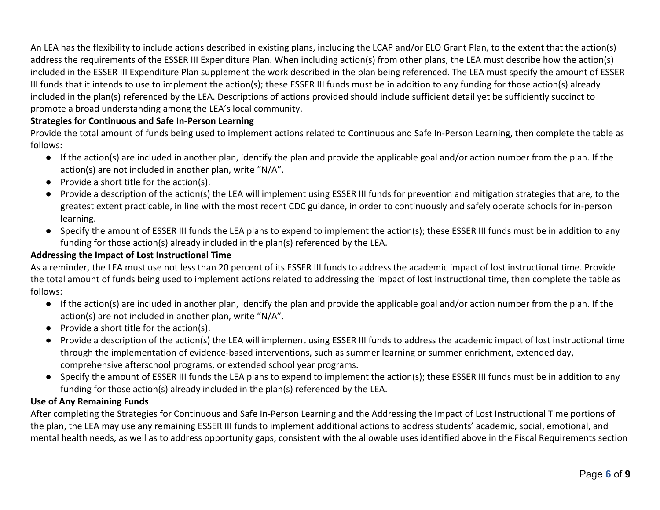An LEA has the flexibility to include actions described in existing plans, including the LCAP and/or ELO Grant Plan, to the extent that the action(s) address the requirements of the ESSER III Expenditure Plan. When including action(s) from other plans, the LEA must describe how the action(s) included in the ESSER III Expenditure Plan supplement the work described in the plan being referenced. The LEA must specify the amount of ESSER III funds that it intends to use to implement the action(s); these ESSER III funds must be in addition to any funding for those action(s) already included in the plan(s) referenced by the LEA. Descriptions of actions provided should include sufficient detail yet be sufficiently succinct to promote a broad understanding among the LEA's local community.

# **Strategies for Continuous and Safe In-Person Learning**

Provide the total amount of funds being used to implement actions related to Continuous and Safe In-Person Learning, then complete the table as follows:

- If the action(s) are included in another plan, identify the plan and provide the applicable goal and/or action number from the plan. If the action(s) are not included in another plan, write "N/A".
- Provide a short title for the action(s).
- Provide a description of the action(s) the LEA will implement using ESSER III funds for prevention and mitigation strategies that are, to the greatest extent practicable, in line with the most recent CDC guidance, in order to continuously and safely operate schools for in-person learning.
- Specify the amount of ESSER III funds the LEA plans to expend to implement the action(s); these ESSER III funds must be in addition to any funding for those action(s) already included in the plan(s) referenced by the LEA.

#### **Addressing the Impact of Lost Instructional Time**

As a reminder, the LEA must use not less than 20 percent of its ESSER III funds to address the academic impact of lost instructional time. Provide the total amount of funds being used to implement actions related to addressing the impact of lost instructional time, then complete the table as follows:

- If the action(s) are included in another plan, identify the plan and provide the applicable goal and/or action number from the plan. If the action(s) are not included in another plan, write "N/A".
- Provide a short title for the action(s).
- Provide a description of the action(s) the LEA will implement using ESSER III funds to address the academic impact of lost instructional time through the implementation of evidence-based interventions, such as summer learning or summer enrichment, extended day, comprehensive afterschool programs, or extended school year programs.
- Specify the amount of ESSER III funds the LEA plans to expend to implement the action(s); these ESSER III funds must be in addition to any funding for those action(s) already included in the plan(s) referenced by the LEA.

#### **Use of Any Remaining Funds**

After completing the Strategies for Continuous and Safe In-Person Learning and the Addressing the Impact of Lost Instructional Time portions of the plan, the LEA may use any remaining ESSER III funds to implement additional actions to address students' academic, social, emotional, and mental health needs, as well as to address opportunity gaps, consistent with the allowable uses identified above in the Fiscal Requirements section